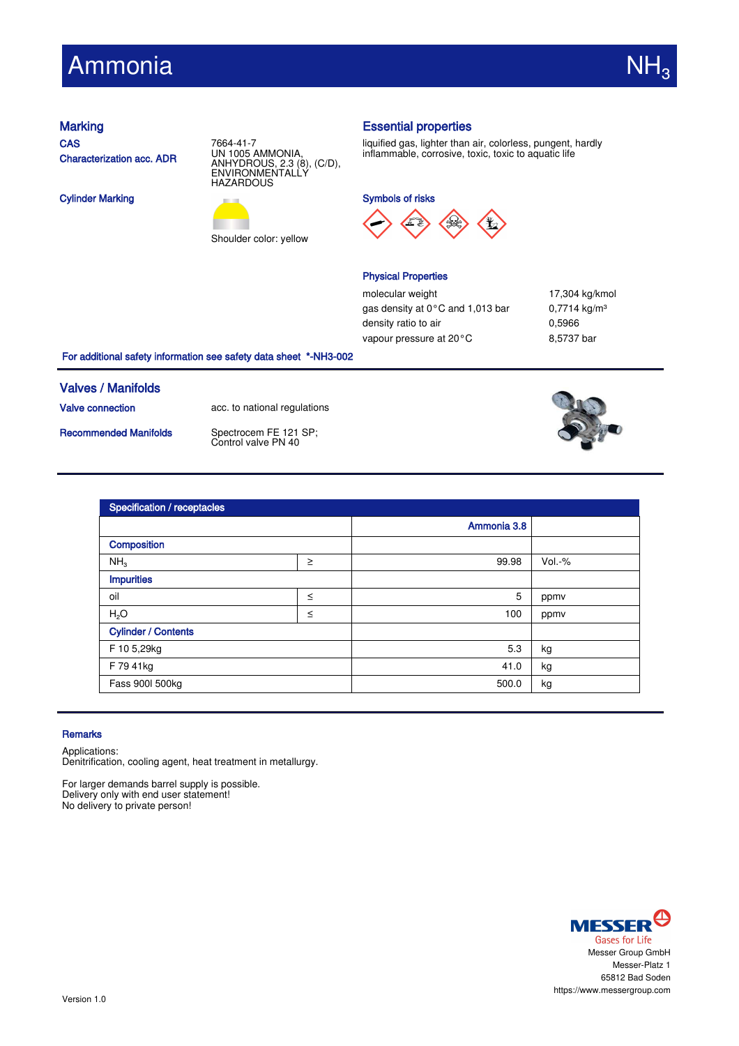# Ammonia

**CAS** Characterization acc. ADR

Cylinder Marking





Shoulder color: yellow

# Marking **Essential properties**

liquified gas, lighter than air, colorless, pungent, hardly inflammable, corrosive, toxic, toxic to aquatic life

Symbols of risks



### Physical Properties

molecular weight 17,304 kg/kmol gas density at 0°C and 1,013 bar 0,7714 kg/m<sup>3</sup> density ratio to air 0,5966 vapour pressure at 20°C 8,5737 bar

### For additional safety information see safety data sheet \*-NH3-002

# Valves / Manifolds

Valve connection acc. to national regulations

Recommended Manifolds Spectrocem FE 121 SP:

Control valve PN 40



| <b>Specification / receptacles</b> |        |             |          |  |
|------------------------------------|--------|-------------|----------|--|
|                                    |        | Ammonia 3.8 |          |  |
| Composition                        |        |             |          |  |
| NH <sub>3</sub>                    | $\geq$ | 99.98       | $Vol.-%$ |  |
| <b>Impurities</b>                  |        |             |          |  |
| oil                                | $\leq$ | 5           | ppmv     |  |
| H <sub>2</sub> O                   | $\leq$ | 100         | ppmv     |  |
| <b>Cylinder / Contents</b>         |        |             |          |  |
| F 10 5,29kg                        |        | 5.3         | kg       |  |
| F 79 41kg                          |        | 41.0        | kg       |  |
| Fass 900l 500kg                    |        | 500.0       | kg       |  |

#### **Remarks**

Applications:

Denitrification, cooling agent, heat treatment in metallurgy.

For larger demands barrel supply is possible. Delivery only with end user statement! No delivery to private person!